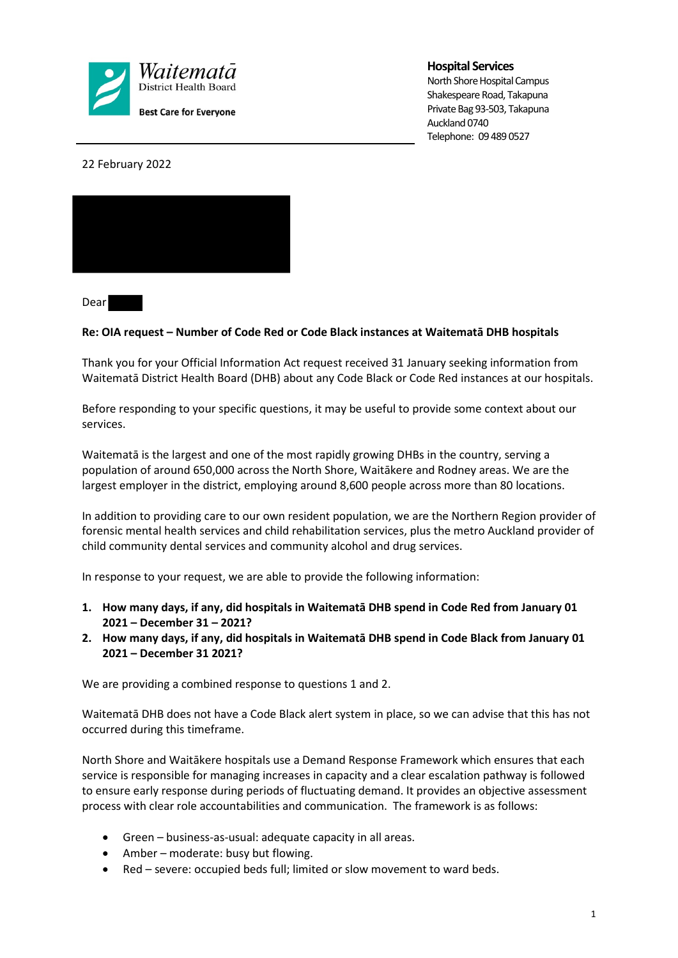

## **Hospital Services**

North Shore Hospital Campus Shakespeare Road, Takapuna Private Bag 93-503, Takapuna Auckland 0740 Telephone: 09 489 0527

22 February 2022



Dear

## **Re: OIA request – Number of Code Red or Code Black instances at Waitematā DHB hospitals**

Thank you for your Official Information Act request received 31 January seeking information from Waitematā District Health Board (DHB) about any Code Black or Code Red instances at our hospitals.

Before responding to your specific questions, it may be useful to provide some context about our services.

Waitematā is the largest and one of the most rapidly growing DHBs in the country, serving a population of around 650,000 across the North Shore, Waitākere and Rodney areas. We are the largest employer in the district, employing around 8,600 people across more than 80 locations.

In addition to providing care to our own resident population, we are the Northern Region provider of forensic mental health services and child rehabilitation services, plus the metro Auckland provider of child community dental services and community alcohol and drug services.

In response to your request, we are able to provide the following information:

- **1. How many days, if any, did hospitals in Waitematā DHB spend in Code Red from January 01 2021 – December 31 – 2021?**
- **2. How many days, if any, did hospitals in Waitematā DHB spend in Code Black from January 01 2021 – December 31 2021?**

We are providing a combined response to questions 1 and 2.

Waitematā DHB does not have a Code Black alert system in place, so we can advise that this has not occurred during this timeframe.

North Shore and Waitākere hospitals use a Demand Response Framework which ensures that each service is responsible for managing increases in capacity and a clear escalation pathway is followed to ensure early response during periods of fluctuating demand. It provides an objective assessment process with clear role accountabilities and communication. The framework is as follows:

- Green business-as-usual: adequate capacity in all areas.
- Amber moderate: busy but flowing.
- Red severe: occupied beds full; limited or slow movement to ward beds.